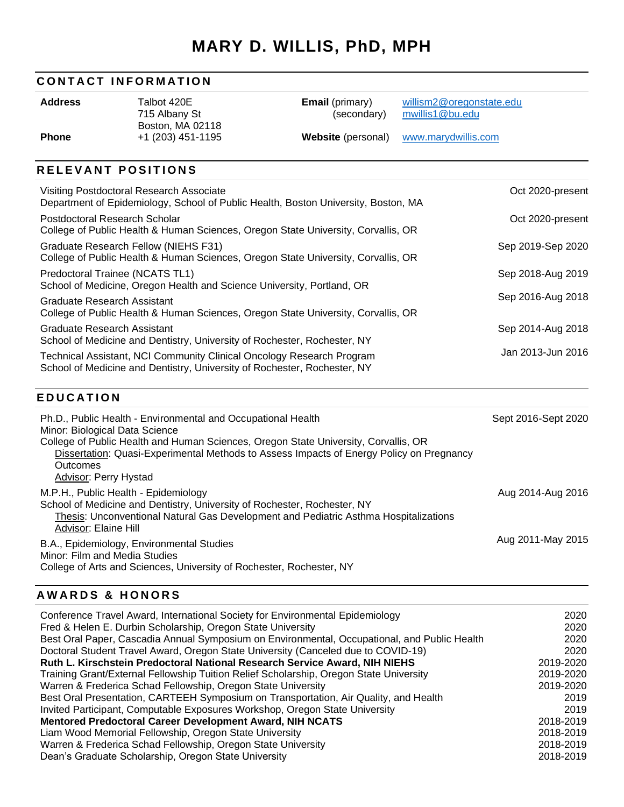# **MARY D. WILLIS, PhD, MPH**

## **CONTACT INFORMATION**

**Address** Talbot 420E 715 Albany St Boston, MA 02118 **Email** (primary) (secondary) [willism2@oregonstate.edu](mailto:willism2@oregonstate.edu) [mwillis1@bu.edu](mailto:mwillis1@bu.edu) 

**Phone** +1 (203) 451-1195 **Website** (personal) [www.marydwillis.com](http://www.marydwillis.com/)

## **RELEVANT POSITIONS**

| Visiting Postdoctoral Research Associate<br>Department of Epidemiology, School of Public Health, Boston University, Boston, MA                    | Oct 2020-present  |
|---------------------------------------------------------------------------------------------------------------------------------------------------|-------------------|
| Postdoctoral Research Scholar<br>College of Public Health & Human Sciences, Oregon State University, Corvallis, OR                                | Oct 2020-present  |
| Graduate Research Fellow (NIEHS F31)<br>College of Public Health & Human Sciences, Oregon State University, Corvallis, OR                         | Sep 2019-Sep 2020 |
| Predoctoral Trainee (NCATS TL1)<br>School of Medicine, Oregon Health and Science University, Portland, OR                                         | Sep 2018-Aug 2019 |
| Graduate Research Assistant<br>College of Public Health & Human Sciences, Oregon State University, Corvallis, OR                                  | Sep 2016-Aug 2018 |
| Graduate Research Assistant<br>School of Medicine and Dentistry, University of Rochester, Rochester, NY                                           | Sep 2014-Aug 2018 |
| Technical Assistant, NCI Community Clinical Oncology Research Program<br>School of Medicine and Dentistry, University of Rochester, Rochester, NY | Jan 2013-Jun 2016 |

## **E D U C A T I O N**

| Ph.D., Public Health - Environmental and Occupational Health<br>Minor: Biological Data Science<br>College of Public Health and Human Sciences, Oregon State University, Corvallis, OR<br>Dissertation: Quasi-Experimental Methods to Assess Impacts of Energy Policy on Pregnancy<br>Outcomes<br><b>Advisor: Perry Hystad</b> | Sept 2016-Sept 2020 |
|-------------------------------------------------------------------------------------------------------------------------------------------------------------------------------------------------------------------------------------------------------------------------------------------------------------------------------|---------------------|
| M.P.H., Public Health - Epidemiology<br>School of Medicine and Dentistry, University of Rochester, Rochester, NY<br>Thesis: Unconventional Natural Gas Development and Pediatric Asthma Hospitalizations<br>Advisor: Elaine Hill                                                                                              | Aug 2014-Aug 2016   |
| B.A., Epidemiology, Environmental Studies<br>Minor: Film and Media Studies<br>College of Arts and Sciences, University of Rochester, Rochester, NY                                                                                                                                                                            | Aug 2011-May 2015   |

## **A W A R D S & H O N O R S**

| Conference Travel Award, International Society for Environmental Epidemiology                | 2020      |
|----------------------------------------------------------------------------------------------|-----------|
| Fred & Helen E. Durbin Scholarship, Oregon State University                                  | 2020      |
| Best Oral Paper, Cascadia Annual Symposium on Environmental, Occupational, and Public Health | 2020      |
| Doctoral Student Travel Award, Oregon State University (Canceled due to COVID-19)            | 2020      |
| Ruth L. Kirschstein Predoctoral National Research Service Award, NIH NIEHS                   | 2019-2020 |
| Training Grant/External Fellowship Tuition Relief Scholarship, Oregon State University       | 2019-2020 |
| Warren & Frederica Schad Fellowship, Oregon State University                                 | 2019-2020 |
| Best Oral Presentation, CARTEEH Symposium on Transportation, Air Quality, and Health         | 2019      |
| Invited Participant, Computable Exposures Workshop, Oregon State University                  | 2019      |
| Mentored Predoctoral Career Development Award, NIH NCATS                                     | 2018-2019 |
| Liam Wood Memorial Fellowship, Oregon State University                                       | 2018-2019 |
| Warren & Frederica Schad Fellowship, Oregon State University                                 | 2018-2019 |
| Dean's Graduate Scholarship, Oregon State University                                         | 2018-2019 |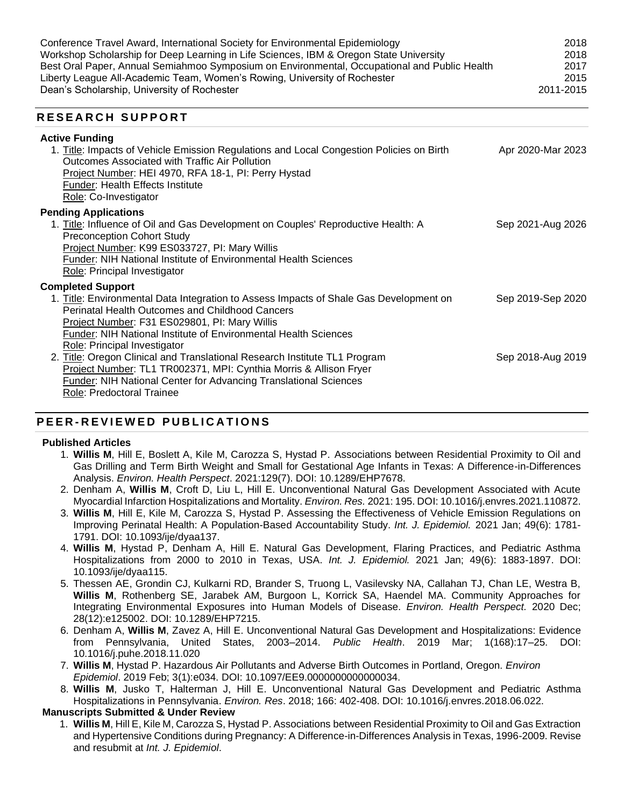Conference Travel Award, International Society for Environmental Epidemiology 2018 Workshop Scholarship for Deep Learning in Life Sciences, IBM & Oregon State University 2018 Best Oral Paper, Annual Semiahmoo Symposium on Environmental, Occupational and Public Health 2017 Liberty League All-Academic Team, Women's Rowing, University of Rochester 2015 Dean's Scholarship, University of Rochester 2011-2015

## **R E S E A R C H S U P P O R T**

| <b>Active Funding</b><br>1. Title: Impacts of Vehicle Emission Regulations and Local Congestion Policies on Birth<br>Outcomes Associated with Traffic Air Pollution<br>Project Number: HEI 4970, RFA 18-1, PI: Perry Hystad<br><b>Funder: Health Effects Institute</b><br>Role: Co-Investigator                                  | Apr 2020-Mar 2023 |
|----------------------------------------------------------------------------------------------------------------------------------------------------------------------------------------------------------------------------------------------------------------------------------------------------------------------------------|-------------------|
| <b>Pending Applications</b><br>1. Title: Influence of Oil and Gas Development on Couples' Reproductive Health: A<br><b>Preconception Cohort Study</b><br>Project Number: K99 ES033727, PI: Mary Willis<br>Funder: NIH National Institute of Environmental Health Sciences<br>Role: Principal Investigator                        | Sep 2021-Aug 2026 |
| <b>Completed Support</b><br>1. Title: Environmental Data Integration to Assess Impacts of Shale Gas Development on<br><b>Perinatal Health Outcomes and Childhood Cancers</b><br>Project Number: F31 ES029801, PI: Mary Willis<br>Funder: NIH National Institute of Environmental Health Sciences<br>Role: Principal Investigator | Sep 2019-Sep 2020 |
| 2. Title: Oregon Clinical and Translational Research Institute TL1 Program<br>Project Number: TL1 TR002371, MPI: Cynthia Morris & Allison Fryer<br><b>Funder: NIH National Center for Advancing Translational Sciences</b><br>Role: Predoctoral Trainee                                                                          | Sep 2018-Aug 2019 |

# **PEER - R E V I E W E D P U B L I C A T I O N S**

#### **Published Articles**

- 1. **Willis M**, Hill E, Boslett A, Kile M, Carozza S, Hystad P. Associations between Residential Proximity to Oil and Gas Drilling and Term Birth Weight and Small for Gestational Age Infants in Texas: A Difference-in-Differences Analysis. *Environ. Health Perspect*. 2021:129(7). DOI: 10.1289/EHP7678.
- 2. Denham A, **Willis M**, Croft D, Liu L, Hill E. Unconventional Natural Gas Development Associated with Acute Myocardial Infarction Hospitalizations and Mortality. *Environ. Res.* 2021: 195. DOI: 10.1016/j.envres.2021.110872.
- 3. **Willis M**, Hill E, Kile M, Carozza S, Hystad P. Assessing the Effectiveness of Vehicle Emission Regulations on Improving Perinatal Health: A Population-Based Accountability Study. *Int. J. Epidemiol.* 2021 Jan; 49(6): 1781- 1791. DOI: 10.1093/ije/dyaa137.
- 4. **Willis M**, Hystad P, Denham A, Hill E. Natural Gas Development, Flaring Practices, and Pediatric Asthma Hospitalizations from 2000 to 2010 in Texas, USA. *Int. J. Epidemiol.* 2021 Jan; 49(6): 1883-1897. DOI: 10.1093/ije/dyaa115.
- 5. Thessen AE, Grondin CJ, Kulkarni RD, Brander S, Truong L, Vasilevsky NA, Callahan TJ, Chan LE, Westra B, **Willis M**, Rothenberg SE, Jarabek AM, Burgoon L, Korrick SA, Haendel MA. Community Approaches for Integrating Environmental Exposures into Human Models of Disease. *Environ. Health Perspect.* 2020 Dec; 28(12):e125002. DOI: 10.1289/EHP7215.
- 6. Denham A, **Willis M**, Zavez A, Hill E. Unconventional Natural Gas Development and Hospitalizations: Evidence from Pennsylvania, United States, 2003–2014. *Public Health*. 2019 Mar; 1(168):17–25. DOI: 10.1016/j.puhe.2018.11.020
- 7. **Willis M**, Hystad P. Hazardous Air Pollutants and Adverse Birth Outcomes in Portland, Oregon. *Environ Epidemiol*. 2019 Feb; 3(1):e034. DOI: 10.1097/EE9.0000000000000034.
- 8. **Willis M**, Jusko T, Halterman J, Hill E. Unconventional Natural Gas Development and Pediatric Asthma Hospitalizations in Pennsylvania. *Environ. Res*. 2018; 166: 402-408. DOI: 10.1016/j.envres.2018.06.022.

## **Manuscripts Submitted & Under Review**

1. **Willis M**, Hill E, Kile M, Carozza S, Hystad P. Associations between Residential Proximity to Oil and Gas Extraction and Hypertensive Conditions during Pregnancy: A Difference-in-Differences Analysis in Texas, 1996-2009. Revise and resubmit at *Int. J. Epidemiol*.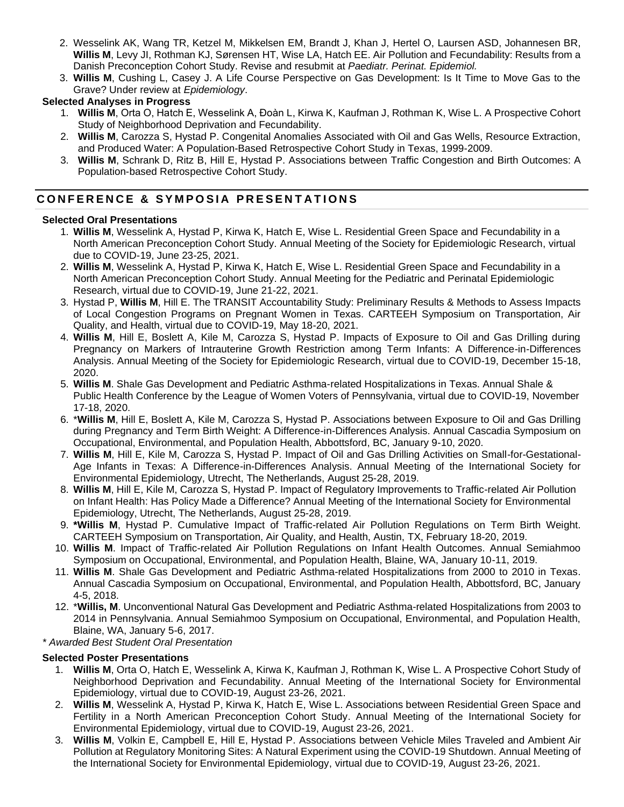- 2. Wesselink AK, Wang TR, Ketzel M, Mikkelsen EM, Brandt J, Khan J, Hertel O, Laursen ASD, Johannesen BR, **Willis M**, Levy JI, Rothman KJ, Sørensen HT, Wise LA, Hatch EE. Air Pollution and Fecundability: Results from a Danish Preconception Cohort Study. Revise and resubmit at *Paediatr. Perinat. Epidemiol.*
- 3. **Willis M**, Cushing L, Casey J. A Life Course Perspective on Gas Development: Is It Time to Move Gas to the Grave? Under review at *Epidemiology*.

## **Selected Analyses in Progress**

- 1. **Willis M**, Orta O, Hatch E, Wesselink A, Đoàn L, Kirwa K, Kaufman J, Rothman K, Wise L. A Prospective Cohort Study of Neighborhood Deprivation and Fecundability.
- 2. **Willis M**, Carozza S, Hystad P. Congenital Anomalies Associated with Oil and Gas Wells, Resource Extraction, and Produced Water: A Population-Based Retrospective Cohort Study in Texas, 1999-2009.
- 3. **Willis M**, Schrank D, Ritz B, Hill E, Hystad P. Associations between Traffic Congestion and Birth Outcomes: A Population-based Retrospective Cohort Study.

# **CONFERENCE & SYMPOSIA PRESENTATIONS**

#### **Selected Oral Presentations**

- 1. **Willis M**, Wesselink A, Hystad P, Kirwa K, Hatch E, Wise L. Residential Green Space and Fecundability in a North American Preconception Cohort Study. Annual Meeting of the Society for Epidemiologic Research, virtual due to COVID-19, June 23-25, 2021.
- 2. **Willis M**, Wesselink A, Hystad P, Kirwa K, Hatch E, Wise L. Residential Green Space and Fecundability in a North American Preconception Cohort Study. Annual Meeting for the Pediatric and Perinatal Epidemiologic Research, virtual due to COVID-19, June 21-22, 2021.
- 3. Hystad P, **Willis M**, Hill E. The TRANSIT Accountability Study: Preliminary Results & Methods to Assess Impacts of Local Congestion Programs on Pregnant Women in Texas. CARTEEH Symposium on Transportation, Air Quality, and Health, virtual due to COVID-19, May 18-20, 2021.
- 4. **Willis M**, Hill E, Boslett A, Kile M, Carozza S, Hystad P. Impacts of Exposure to Oil and Gas Drilling during Pregnancy on Markers of Intrauterine Growth Restriction among Term Infants: A Difference-in-Differences Analysis. Annual Meeting of the Society for Epidemiologic Research, virtual due to COVID-19, December 15-18, 2020.
- 5. **Willis M**. Shale Gas Development and Pediatric Asthma-related Hospitalizations in Texas. Annual Shale & Public Health Conference by the League of Women Voters of Pennsylvania, virtual due to COVID-19, November 17-18, 2020.
- 6. \***Willis M**, Hill E, Boslett A, Kile M, Carozza S, Hystad P. Associations between Exposure to Oil and Gas Drilling during Pregnancy and Term Birth Weight: A Difference-in-Differences Analysis. Annual Cascadia Symposium on Occupational, Environmental, and Population Health, Abbottsford, BC, January 9-10, 2020.
- 7. **Willis M**, Hill E, Kile M, Carozza S, Hystad P. Impact of Oil and Gas Drilling Activities on Small-for-Gestational-Age Infants in Texas: A Difference-in-Differences Analysis. Annual Meeting of the International Society for Environmental Epidemiology, Utrecht, The Netherlands, August 25-28, 2019.
- 8. **Willis M**, Hill E, Kile M, Carozza S, Hystad P. Impact of Regulatory Improvements to Traffic-related Air Pollution on Infant Health: Has Policy Made a Difference? Annual Meeting of the International Society for Environmental Epidemiology, Utrecht, The Netherlands, August 25-28, 2019.
- 9. **\*Willis M**, Hystad P. Cumulative Impact of Traffic-related Air Pollution Regulations on Term Birth Weight. CARTEEH Symposium on Transportation, Air Quality, and Health, Austin, TX, February 18-20, 2019.
- 10. **Willis M**. Impact of Traffic-related Air Pollution Regulations on Infant Health Outcomes. Annual Semiahmoo Symposium on Occupational, Environmental, and Population Health, Blaine, WA, January 10-11, 2019.
- 11. **Willis M**. Shale Gas Development and Pediatric Asthma-related Hospitalizations from 2000 to 2010 in Texas. Annual Cascadia Symposium on Occupational, Environmental, and Population Health, Abbottsford, BC, January 4-5, 2018.
- 12. \***Willis, M**. Unconventional Natural Gas Development and Pediatric Asthma-related Hospitalizations from 2003 to 2014 in Pennsylvania. Annual Semiahmoo Symposium on Occupational, Environmental, and Population Health, Blaine, WA, January 5-6, 2017.

#### *\* Awarded Best Student Oral Presentation*

#### **Selected Poster Presentations**

- 1. **Willis M**, Orta O, Hatch E, Wesselink A, Kirwa K, Kaufman J, Rothman K, Wise L. A Prospective Cohort Study of Neighborhood Deprivation and Fecundability. Annual Meeting of the International Society for Environmental Epidemiology, virtual due to COVID-19, August 23-26, 2021.
- 2. **Willis M**, Wesselink A, Hystad P, Kirwa K, Hatch E, Wise L. Associations between Residential Green Space and Fertility in a North American Preconception Cohort Study. Annual Meeting of the International Society for Environmental Epidemiology, virtual due to COVID-19, August 23-26, 2021.
- 3. **Willis M**, Volkin E, Campbell E, Hill E, Hystad P. Associations between Vehicle Miles Traveled and Ambient Air Pollution at Regulatory Monitoring Sites: A Natural Experiment using the COVID-19 Shutdown. Annual Meeting of the International Society for Environmental Epidemiology, virtual due to COVID-19, August 23-26, 2021.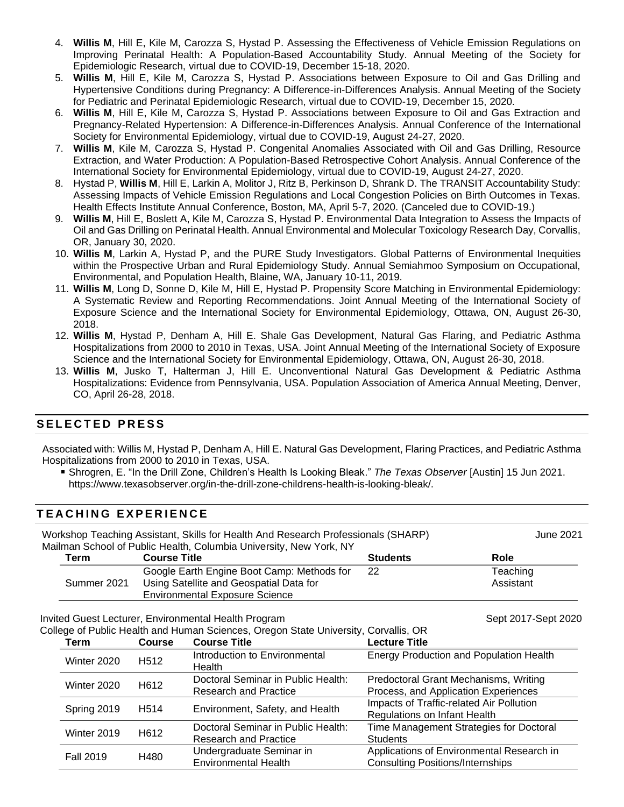- 4. **Willis M**, Hill E, Kile M, Carozza S, Hystad P. Assessing the Effectiveness of Vehicle Emission Regulations on Improving Perinatal Health: A Population-Based Accountability Study. Annual Meeting of the Society for Epidemiologic Research, virtual due to COVID-19, December 15-18, 2020.
- 5. **Willis M**, Hill E, Kile M, Carozza S, Hystad P. Associations between Exposure to Oil and Gas Drilling and Hypertensive Conditions during Pregnancy: A Difference-in-Differences Analysis. Annual Meeting of the Society for Pediatric and Perinatal Epidemiologic Research, virtual due to COVID-19, December 15, 2020.
- 6. **Willis M**, Hill E, Kile M, Carozza S, Hystad P. Associations between Exposure to Oil and Gas Extraction and Pregnancy-Related Hypertension: A Difference-in-Differences Analysis. Annual Conference of the International Society for Environmental Epidemiology, virtual due to COVID-19, August 24-27, 2020.
- 7. **Willis M**, Kile M, Carozza S, Hystad P. Congenital Anomalies Associated with Oil and Gas Drilling, Resource Extraction, and Water Production: A Population-Based Retrospective Cohort Analysis. Annual Conference of the International Society for Environmental Epidemiology, virtual due to COVID-19, August 24-27, 2020.
- 8. Hystad P, **Willis M**, Hill E, Larkin A, Molitor J, Ritz B, Perkinson D, Shrank D. The TRANSIT Accountability Study: Assessing Impacts of Vehicle Emission Regulations and Local Congestion Policies on Birth Outcomes in Texas. Health Effects Institute Annual Conference, Boston, MA, April 5-7, 2020. (Canceled due to COVID-19.)
- 9. **Willis M**, Hill E, Boslett A, Kile M, Carozza S, Hystad P. Environmental Data Integration to Assess the Impacts of Oil and Gas Drilling on Perinatal Health. Annual Environmental and Molecular Toxicology Research Day, Corvallis, OR, January 30, 2020.
- 10. **Willis M**, Larkin A, Hystad P, and the PURE Study Investigators. Global Patterns of Environmental Inequities within the Prospective Urban and Rural Epidemiology Study. Annual Semiahmoo Symposium on Occupational, Environmental, and Population Health, Blaine, WA, January 10-11, 2019.
- 11. **Willis M**, Long D, Sonne D, Kile M, Hill E, Hystad P. Propensity Score Matching in Environmental Epidemiology: A Systematic Review and Reporting Recommendations. Joint Annual Meeting of the International Society of Exposure Science and the International Society for Environmental Epidemiology, Ottawa, ON, August 26-30, 2018.
- 12. **Willis M**, Hystad P, Denham A, Hill E. Shale Gas Development, Natural Gas Flaring, and Pediatric Asthma Hospitalizations from 2000 to 2010 in Texas, USA. Joint Annual Meeting of the International Society of Exposure Science and the International Society for Environmental Epidemiology, Ottawa, ON, August 26-30, 2018.
- 13. **Willis M**, Jusko T, Halterman J, Hill E. Unconventional Natural Gas Development & Pediatric Asthma Hospitalizations: Evidence from Pennsylvania, USA. Population Association of America Annual Meeting, Denver, CO, April 26-28, 2018.

# **S E L E C T E D P R E S S**

Associated with: Willis M, Hystad P, Denham A, Hill E. Natural Gas Development, Flaring Practices, and Pediatric Asthma Hospitalizations from 2000 to 2010 in Texas, USA.

Shrogren, E. "In the Drill Zone, Children's Health Is Looking Bleak." *The Texas Observer* [Austin] 15 Jun 2021. https://www.texasobserver.org/in-the-drill-zone-childrens-health-is-looking-bleak/.

## **T E A C H I N G E X P E R I E N C E**

Workshop Teaching Assistant, Skills for Health And Research Professionals (SHARP) June 2021 Mailman School of Public Health, Columbia University, New York, NY

| Term        | <b>Course Title</b>                                                                                                            | <b>Students</b> | Role                  |
|-------------|--------------------------------------------------------------------------------------------------------------------------------|-----------------|-----------------------|
| Summer 2021 | Google Earth Engine Boot Camp: Methods for<br>Using Satellite and Geospatial Data for<br><b>Environmental Exposure Science</b> | 22              | Teaching<br>Assistant |
|             |                                                                                                                                |                 |                       |

Invited Guest Lecturer, Environmental Health Program Sept 2017-Sept 2020

College of Public Health and Human Sciences, Oregon State University, Corvallis, OR

| Term             | <b>Course</b>     | <b>Course Title</b>                     | <b>Lecture Title</b>                           |
|------------------|-------------------|-----------------------------------------|------------------------------------------------|
| Winter 2020      | H <sub>5</sub> 12 | Introduction to Environmental<br>Health | <b>Energy Production and Population Health</b> |
| Winter 2020      | H612              | Doctoral Seminar in Public Health:      | Predoctoral Grant Mechanisms, Writing          |
|                  |                   | <b>Research and Practice</b>            | Process, and Application Experiences           |
| Spring 2019      | H <sub>5</sub> 14 | Environment, Safety, and Health         | Impacts of Traffic-related Air Pollution       |
|                  |                   |                                         | Regulations on Infant Health                   |
| Winter 2019      | H612              | Doctoral Seminar in Public Health:      | Time Management Strategies for Doctoral        |
|                  |                   | <b>Research and Practice</b>            | <b>Students</b>                                |
| <b>Fall 2019</b> | H480              | Undergraduate Seminar in                | Applications of Environmental Research in      |
|                  |                   | <b>Environmental Health</b>             | <b>Consulting Positions/Internships</b>        |